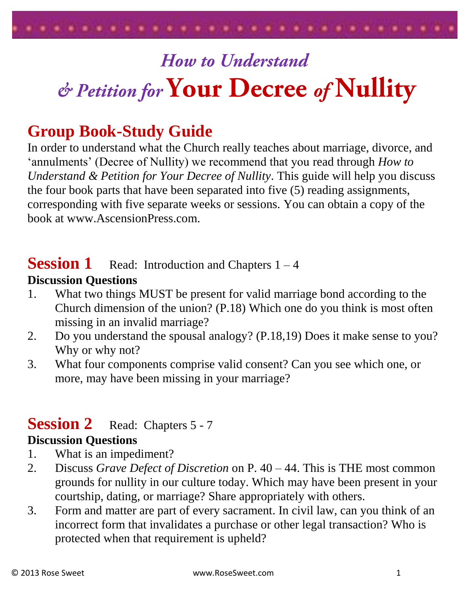

# **How to Understand** & Petition for Your Decree of Nullity

# **Group Book-Study Guide**

In order to understand what the Church really teaches about marriage, divorce, and 'annulments' (Decree of Nullity) we recommend that you read through *How to Understand & Petition for Your Decree of Nullity*. This guide will help you discuss the four book parts that have been separated into five (5) reading assignments, corresponding with five separate weeks or sessions. You can obtain a copy of the book at www.AscensionPress.com.

## **Session 1** Read: Introduction and Chapters 1 – 4

#### **Discussion Questions**

- 1. What two things MUST be present for valid marriage bond according to the Church dimension of the union? (P.18) Which one do you think is most often missing in an invalid marriage?
- 2. Do you understand the spousal analogy? (P.18,19) Does it make sense to you? Why or why not?
- 3. What four components comprise valid consent? Can you see which one, or more, may have been missing in your marriage?

## **Session 2** Read: Chapters 5 - 7

#### **Discussion Questions**

- 1. What is an impediment?
- 2. Discuss *Grave Defect of Discretion* on P. 40 44. This is THE most common grounds for nullity in our culture today. Which may have been present in your courtship, dating, or marriage? Share appropriately with others.
- 3. Form and matter are part of every sacrament. In civil law, can you think of an incorrect form that invalidates a purchase or other legal transaction? Who is protected when that requirement is upheld?